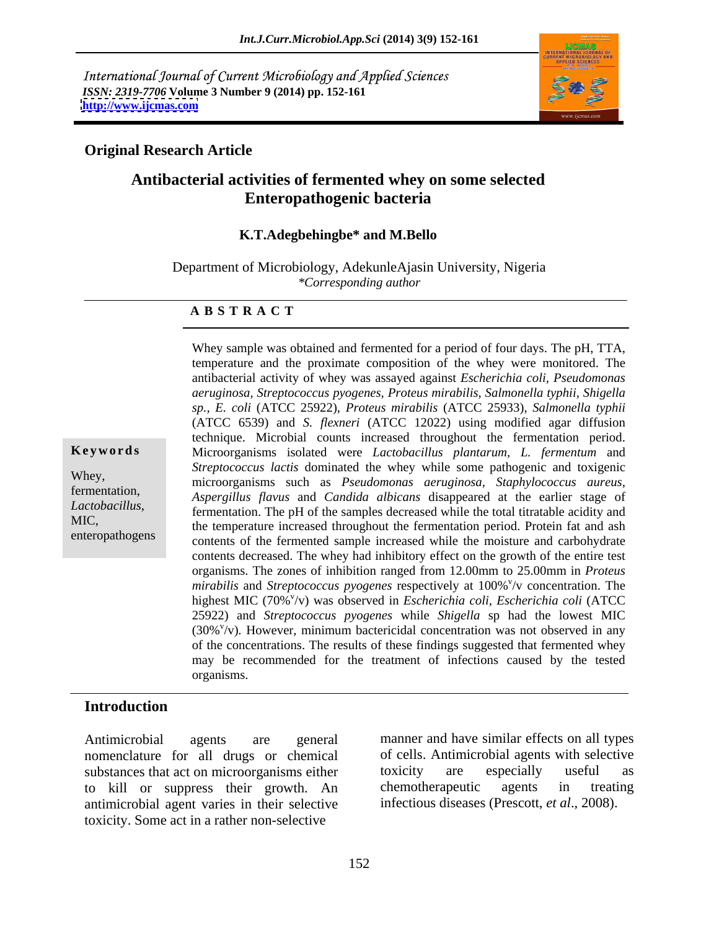International Journal of Current Microbiology and Applied Sciences *ISSN: 2319-7706* **Volume 3 Number 9 (2014) pp. 152-161 <http://www.ijcmas.com>**



## **Original Research Article**

## **Antibacterial activities of fermented whey on some selected Enteropathogenic bacteria**

#### **K.T.Adegbehingbe\* and M.Bello**

Department of Microbiology, AdekunleAjasin University, Nigeria *\*Corresponding author* 

#### **A B S T R A C T**

**Ke ywo rds** Microorganisms isolated were *Lactobacillus plantarum, L. fermentum* and Whey,<br>
microorganisms such as *Pseudomonas aeruginosa*, *Staphylococcus aureus*, fermentation, *Aspergillus flavus* and *Candida albicans* disappeared at the earlier stage of *Lactobacillus*,<br>
fermentation. The pH of the samples decreased while the total titratable acidity and<br>
MIC,<br>
the temperature increased throughout the fermentation period. Protein fat and ash enteropathogens contents of the fermented sample increased while the moisture and carbohydrate Whey sample was obtained and fermented for a period of four days. The pH, TTA, temperature and the proximate composition of the whey were monitored. The antibacterial activity of whey was assayed against *Escherichia coli, Pseudomonas aeruginosa, Streptococcus pyogenes, Proteus mirabilis, Salmonella typhii, Shigella sp., E. coli* (ATCC 25922), *Proteus mirabilis* (ATCC 25933), *Salmonella typhii* (ATCC 6539) and *S. flexneri* (ATCC 12022) using modified agar diffusion technique. Microbial counts increased throughout the fermentation period. *Streptococcus lactis* dominated the whey while some pathogenic and toxigenic the temperature increased throughout the fermentation period. Protein fat and ash contents decreased. The whey had inhibitory effect on the growth of the entire test organisms. The zones of inhibition ranged from 12.00mm to 25.00mm in *Proteus mirabilis* and *Streptococcus pyogenes* respectively at 100%  $v_{\alpha}$  concentration. The /v concentration. The highest MIC (70% v /v) was observed in *Escherichia coli, Escherichia coli* (ATCC 25922) and *Streptococcus pyogenes* while *Shigella* sp had the lowest MIC (30% $\degree$ /v). However, minimum bactericidal concentration was not observed in any of the concentrations. The results of these findings suggested that fermented whey may be recommended for the treatment of infections caused by the tested organisms.

#### **Introduction**

nomenclature for all drugs or chemical substances that act on microorganisms either toxicity are especially useful as to kill or suppress their growth. An antimicrobial agent varies in their selective toxicity. Some act in a rather non-selective

Antimicrobial agents are general manner and have similar effects on all types of cells. Antimicrobial agents with selective toxicity are especially useful as chemotherapeutic agents in treating infectious diseases (Prescott, *et al*., 2008).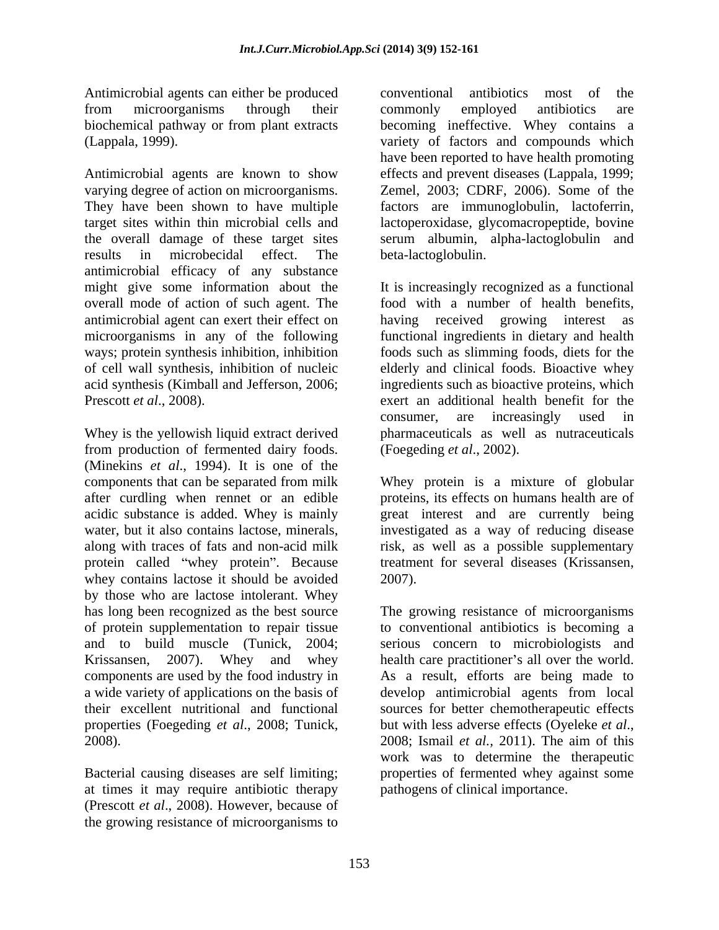Antimicrobial agents can either be produced conventional antibiotics most of the

Antimicrobial agents are known to show effects and prevent diseases (Lappala, 1999; varying degree of action on microorganisms. Zemel, 2003; CDRF, 2006). Some of the They have been shown to have multiple factors are immunoglobulin, lactoferrin, target sites within thin microbial cells and lactoperoxidase, glycomacropeptide, bovine the overall damage of these target sites serum albumin, alpha-lactoglobulin and results in microbecidal effect. The antimicrobial efficacy of any substance might give some information about the It is increasingly recognized as a functional overall mode of action of such agent. The antimicrobial agent can exert their effect on microorganisms in any of the following functional ingredients in dietary and health ways; protein synthesis inhibition, inhibition foods such as slimming foods, diets for the of cell wall synthesis, inhibition of nucleic elderly and clinical foods. Bioactive whey acid synthesis (Kimball and Jefferson, 2006; ingredients such as bioactive proteins, which

Whey is the yellowish liquid extract derived pharmaceuticals as well as nutraceuticals from production of fermented dairy foods. (Minekins *et al*., 1994). It is one of the components that can be separated from milk Whey protein is a mixture of globular after curdling when rennet or an edible proteins, its effects on humans health are of acidic substance is added. Whey is mainly great interest and are currently being water, but it also contains lactose, minerals, investigated as a way of reducing disease along with traces of fats and non-acid milk risk, as well as a possible supplementary protein called "whey protein". Because treatment for several diseases (Krissansen, whey contains lactose it should be avoided 2007). by those who are lactose intolerant. Whey has long been recognized as the best source properties (Foegeding *et al*., 2008; Tunick, 2008). 2008; Ismail *et al.*, 2011). The aim of this

at times it may require antibiotic therapy (Prescott *et al*., 2008). However, because of the growing resistance of microorganisms to

from microorganisms through their biochemical pathway or from plant extracts becoming ineffective. Whey contains a (Lappala, 1999). variety of factors and compounds which conventional antibiotics most of the commonly employed antibiotics are have been reported to have health promoting

Prescott *et al*., 2008). exert an additional health benefit for the beta-lactoglobulin.<br>It is increasingly recognized as a functional food with a number of health benefits, having received growing consumer, are increasingly used in (Foegeding *et al*., 2002).

2007).

of protein supplementation to repair tissue to conventional antibiotics is becoming a and to build muscle (Tunick, 2004; serious concern to microbiologists and Krissansen, 2007). Whey and whey health care practitioner's all over the world. components are used by the food industry in As a result, efforts are being made to a wide variety of applications on the basis of develop antimicrobial agents from local their excellent nutritional and functional sources for better chemotherapeutic effects Bacterial causing diseases are self limiting; properties of fermented whey against some The growing resistance of microorganisms but with less adverse effects (Oyeleke *et al*., 2008; Ismail *et al.,* 2011). The aim of this work was to determine the therapeutic pathogens of clinical importance.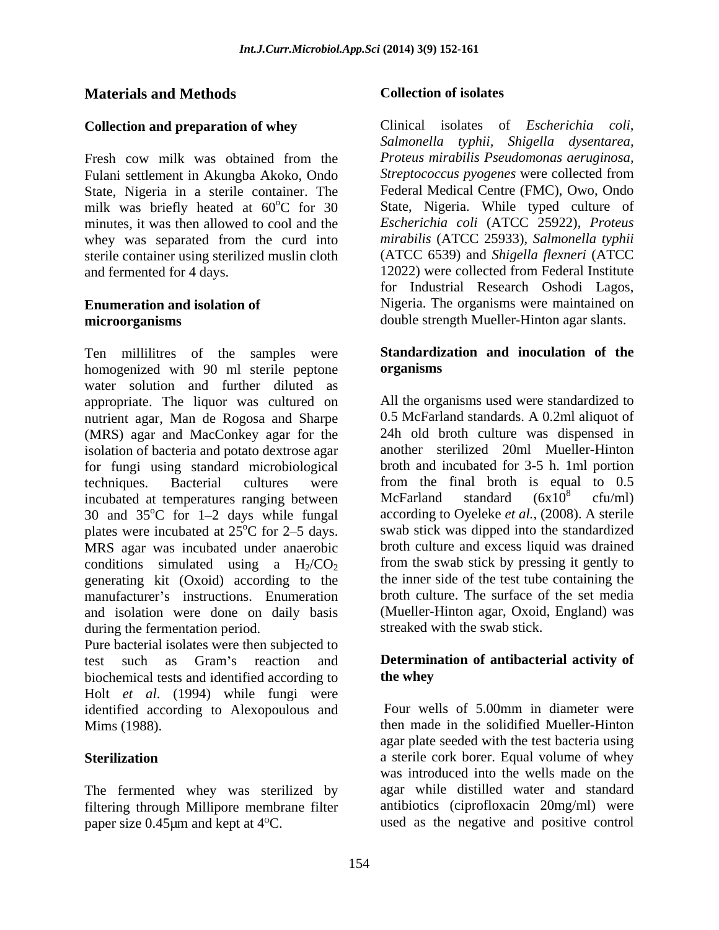## **Materials and Methods**

## **Collection and preparation of whey**

Fulani settlement in Akungba Akoko, Ondo State, Nigeria in a sterile container. The milk was briefly heated at 60°C for 30 sterile container using sterilized muslin cloth and fermented for 4 days. 12022) were collected from Federal Institute

Ten millilitres of the samples were homogenized with 90 ml sterile peptone organisms water solution and further diluted as appropriate. The liquor was cultured on nutrient agar, Man de Rogosa and Sharpe (MRS) agar and MacConkey agar for the isolation of bacteria and potato dextrose agar for fungi using standard microbiological techniques. Bacterial cultures were from the final broth is equal to 0.5 incubated at temperatures ranging between McFarland standard  $(6x10<sup>8</sup>$  cfu/ml) 30 and  $35^{\circ}$ C for 1–2 days while fungal plates were incubated at  $25^{\circ}$ C for 2–5 days. MRS agar was incubated under anaerobic conditions simulated using a  $H_2/CO_2$ generating kit (Oxoid) according to the manufacturer's instructions. Enumeration and isolation were done on daily basis during the fermentation period.

Pure bacterial isolates were then subjected to test such as Gram s reaction and **Determination of antibacterial activity of** biochemical tests and identified according to **the whey** Holt *et al*. (1994) while fungi were identified according to Alexopoulous and

The fermented whey was sterilized by filtering through Millipore membrane filter paper size  $0.45\mu$ m and kept at  $4^{\circ}$ C. we used as the negative and positive control

### **Collection of isolates**

Fresh cow milk was obtained from the *Proteus mirabilis Pseudomonas aeruginosa*, oC for 30 State, Nigeria. While typed culture of minutes, it was then allowed to cool and the *Escherichia coli* (ATCC 25922), *Proteus* whey was separated from the curd into *mirabilis* (ATCC 25933), *Salmonella typhii* **Enumeration and isolation of** Nigeria. The organisms were maintained on **microorganisms**  double strength Mueller-Hinton agar slants. Clinical isolates of *Escherichia coli, Salmonella typhii, Shigella dysentarea, Proteus mirabilis Pseudomonas aeruginosa, Streptococcus pyogenes* were collected from Federal Medical Centre (FMC), Owo, Ondo (ATCC 6539) and *Shigella flexneri* (ATCC 12022) were collected from Federal Institute for Industrial Research Oshodi Lagos,

## **Standardization and inoculation of the organisms**

 $^{\circ}$ C for 1–2 days while fungal according to Oyeleke *et al.*, (2008). A sterile  $\rm ^{6}C$  for 2–5 days. swab stick was dipped into the standardized All the organisms used were standardized to 0.5 McFarland standards. A 0.2ml aliquot of 24h old broth culture was dispensed in another sterilized 20ml Mueller-Hinton broth and incubated for 3-5 h. 1ml portion McFarland standard  $(6x10^8 \text{ cfu/ml})$  $\frac{8}{10}$  of  $\frac{1}{2}$ cfu/ml) broth culture and excess liquid was drained from the swab stick by pressing it gently to the inner side of the test tube containing the broth culture. The surface of the set media (Mueller-Hinton agar, Oxoid, England) was streaked with the swab stick.

## **the whey**

Mims (1988). then made in the solidified Mueller-Hinton **Sterilization** a sterile cork borer. Equal volume of whey C. used as the negative and positive controlFour wells of 5.00mm in diameter were agar plate seeded with the test bacteria using was introduced into the wells made on the agar while distilled water and standard antibiotics (ciprofloxacin 20mg/ml) were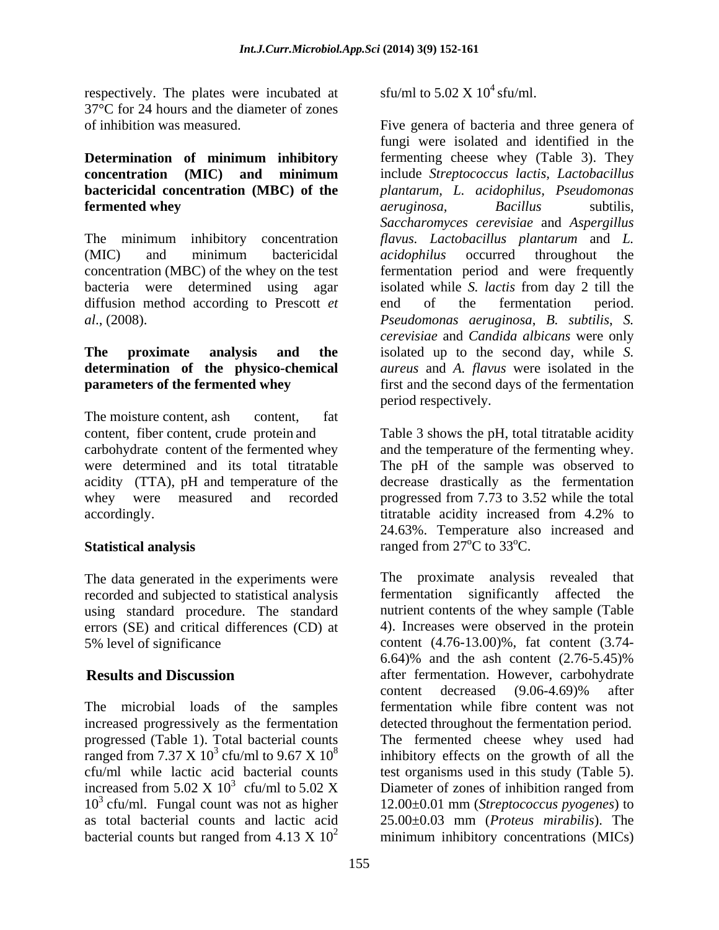respectively. The plates were incubated at 37°C for 24 hours and the diameter of zones

diffusion method according to Prescott *et* and of the fermentation period.

# **determination of the physico-chemical**

The moisture content, ash content, fat carbohydrate content of the fermented whey accordingly. titratable acidity increased from 4.2% to

The data generated in the experiments were The proximate analysis revealed that recorded and subjected to statistical analysis using standard procedure. The standard

The microbial loads of the samples increased progressively as the fermentation progressed (Table 1). Total bacterial counts

sfu/ml to  $5.02 \text{ X} 10^4 \text{ sfu/ml}$ .

of inhibition was measured. Five genera of bacteria and three genera of **Determination of minimum inhibitory concentration (MIC) and minimum bactericidal concentration (MBC) of the** *plantarum, L. acidophilus, Pseudomonas* **fermented whey** *aeruginosa,* **Bacillus subtilis,** The minimum inhibitory concentration *flavus. Lactobacillus plantarum* and *L.* (MIC) and minimum bactericidal *acidophilus* occurred throughout the concentration (MBC) of the whey on the test fermentation period and were frequently bacteria were determined using agar isolated while *S. lactis* from day 2 till the *al*., (2008). *Pseudomonas aeruginosa*, *B. subtilis*, *S.*  **The proximate analysis and the** isolated up to the second day, while *S.*  **parameters of the fermented whey** first and the second days of the fermentation fungi were isolated and identified in the fermenting cheese whey (Table 3). They include *Streptococcus lactis, Lactobacillus aeruginosa, Bacillus* subtilis*, Saccharomyces cerevisiae* and *Aspergillus acidophilus* occurred throughout the end of the fermentation period.*cerevisiae* and *Candida albicans* were only *aureus* and *A. flavus* were isolated in the period respectively.

content, fiber content, crude protein and Table 3 shows the pH, total titratable acidity were determined and its total titratable The pH of the sample was observed to acidity (TTA), pH and temperature of the decrease drastically as the fermentation whey were measured and recorded progressed from 7.73 to 3.52 while the total **Statistical analysis**  $\qquad \qquad \text{ranged from } 27^{\circ}C \text{ to } 33^{\circ}C.$ and the temperature of the fermenting whey. titratable acidity increased from 4.2% to 24.63%. Temperature also increased and

errors (SE) and critical differences (CD) at 4). Increases were observed in the protein 5% level of significance content (4.76-13.00)%, fat content (3.74- **Results and Discussion** after fermentation. However, carbohydrate ranged from 7.37 X 10<sup>3</sup> cfu/ml to 9.67 X 10<sup>8</sup> inhibitory effects on the growth of all the ranged from 7.37 X 10<sup>3</sup> cfu/ml to 9.67 X 10<sup>8</sup> inhibitory effects on the growth of all the cfu/ml while lactic acid bacterial counts test organisms used in this study (Table 5). increased from  $5.02 \text{ X}$  10<sup>3</sup> cfu/ml to  $5.02 \text{ X}$  Diameter of zones of inhibition ranged from 103 cfu/ml. Fungal count was not as higher 12.00±0.01 mm (*Streptococcus pyogenes*) to as total bacterial counts and lactic acid 25.00±0.03 mm (*Proteus mirabilis*). The bacterial counts but ranged from  $4.13 \times 10^2$  minimum inhibitory concentrations (MICs) The proximate analysis revealed fermentation significantly affected the nutrient contents of the whey sample (Table 6.64)% and the ash content (2.76-5.45)% content decreased (9.06-4.69)% after fermentation while fibre content was not detected throughout the fermentation period. The fermented cheese whey used had test organisms used in this study (Table 5).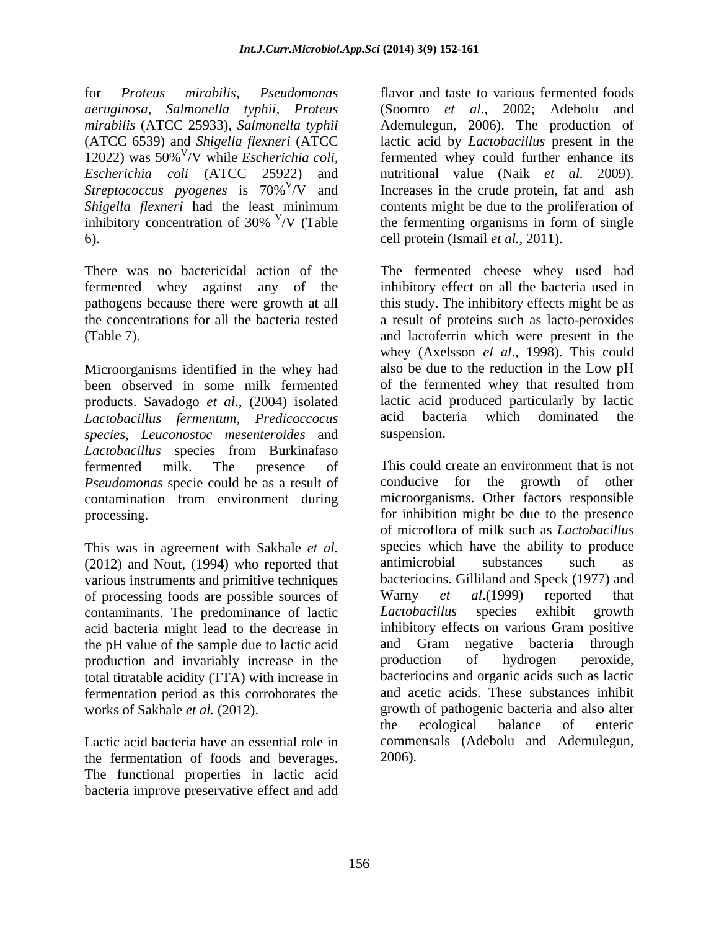*mirabilis* (ATCC 25933), *Salmonella typhii Streptococcus pyogenes* is 70%

Microorganisms identified in the whey had been observed in some milk fermented products. Savadogo *et al.*, (2004) isolated lactic acid produced particularly by l<br>*Lactobacillus fermentum Predicoccocus* acid bacteria which dominated *Lactobacillus fermentum, Predicoccocus species, Leuconostoc mesenteroides* and *Lactobacillus* species from Burkinafaso *Pseudomonas* specie could be as a result of contamination from environment during

This was in agreement with Sakhale *et al.* species which have the abi<br>(2012) and Nout. (1994) who reported that antimicrobial substances (2012) and Nout, (1994) who reported that antimicrobial substances such as various instruments and primitive techniques of processing foods are possible sources of Warny et al.(1999) reported that contaminants. The predominance of lactic Lactobacillus species exhibit growth contaminants. The predominance of lactic Lactobacillus species exhibit growth acid bacteria might lead to the decrease in the pH value of the sample due to lactic acid production and invariably increase in the production of hydrogen peroxide, total titratable acidity (TTA) with increase in fermentation period as this corroborates the

the fermentation of foods and beverages. The functional properties in lactic acid bacteria improve preservative effect and add

for *Proteus mirabilis, Pseudomonas* flavor and taste to various fermented foods *aeruginosa, Salmonella typhii, Proteus* (Soomro *et al*., 2002; Adebolu and (ATCC 6539) and *Shigella flexneri* (ATCC lactic acid by *Lactobacillus* present in the 12022) was 50% V /V while *Escherichia coli,* fermented whey could further enhance its *Escherichia coli* (ATCC 25922) and nutritional value (Naik *et al.* 2009).  $V/V$  and Increases in the crude protein, fat and ash *Shigella flexneri* had the least minimum contents might be due to the proliferation of inhibitory concentration of 30%  $\frac{V}{V}$  (Table the fermenting organisms in form of single 6). cell protein (Ismail *et al.,* 2011). Ademulegun, 2006). The production of

There was no bactericidal action of the The fermented cheese whey used had fermented whey against any of the inhibitory effect on all the bacteria used in pathogens because there were growth at all this study. The inhibitory effects might be as the concentrations for all the bacteria tested a result of proteins such as lacto-peroxides (Table 7). and lactoferrin which were present in the whey (Axelsson *el al*., 1998). This could also be due to the reduction in the Low pH of the fermented whey that resulted from lactic acid produced particularly by lactic acid bacteria which dominated the suspension.

fermented milk. The presence of This could create an environment that is not processing. for inhibition might be due to the presence works of Sakhale *et al.* (2012). **growth** of pathogenic bacteria and also alter Lactic acid bacteria have an essential role in commensals (Adebolu and Ademulegun, conducive for the growth of other microorganisms. Other factors responsible of microflora of milk such as *Lactobacillus*  species which have the ability to produce antimicrobial substances such as bacteriocins. Gilliland and Speck (1977) and Warny *et al*.(1999) reported that *Lactobacillus* species exhibit growth inhibitory effects on various Gram positive and Gram negative bacteria through production of hydrogen peroxide, bacteriocins and organic acids such as lactic and acetic acids. These substances inhibit the ecological balance of enteric 2006).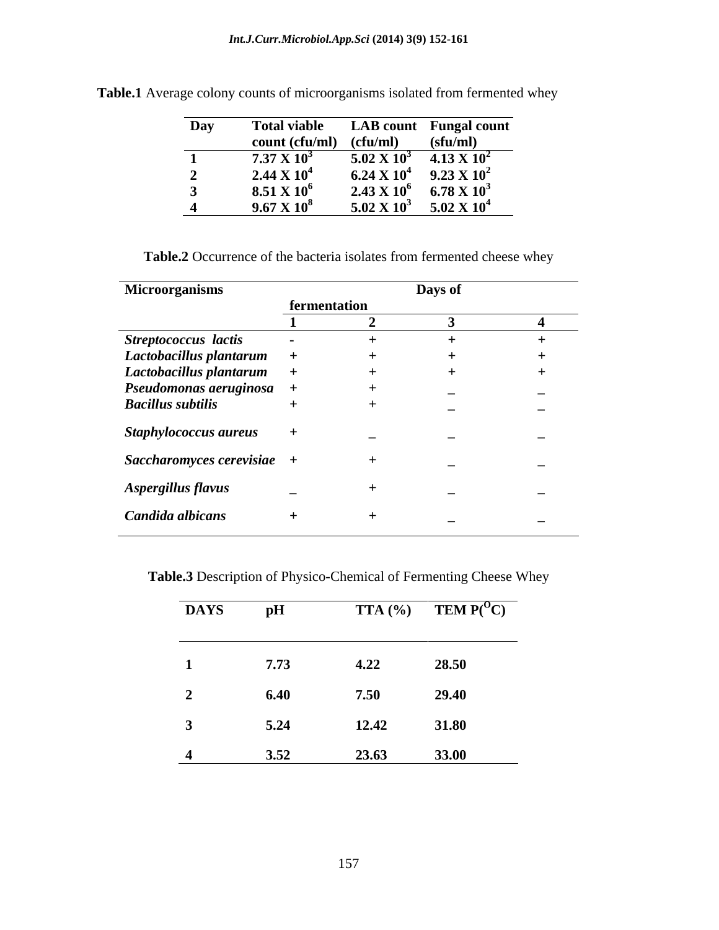| Day | <b>Total viable</b>  |                      | LAB count Fungal count |
|-----|----------------------|----------------------|------------------------|
|     | count (cfu/ml)       | (cfu/ml)             | (sfu/ml)               |
|     | $7.37 \times 10^3$   | 5.02 X $10^3$        | 4.13 X $10^2$          |
| ▰   | $2.44 \times 10^4$   | 6.24 X $10^4$        | $9.23 \times 10^2$     |
| ັ   | $8.51 \times 10^{6}$ | $2.43 \times 10^{6}$ | 6.78 X $10^3$          |
|     | $9.67 \times 10^8$   | 5.02 X $10^3$        | $5.02 \times 10^4$     |

**Table.1** Average colony counts of microorganisms isolated from fermented whey

Table.2 Occurrence of the bacteria isolates from fermented cheese whey

| <b>Microorganisms</b>        |              |                          | Days of                  |                                 |
|------------------------------|--------------|--------------------------|--------------------------|---------------------------------|
|                              | fermentation |                          |                          |                                 |
|                              |              |                          |                          |                                 |
| Streptococcus lactis         |              |                          |                          |                                 |
| Lactobacillus plantarum      |              |                          |                          |                                 |
| Lactobacillus plantarum      |              |                          |                          |                                 |
| Pseudomonas aeruginosa +     |              |                          | $\sim$                   | $\overline{\phantom{0}}$        |
| <b>Bacillus subtilis</b>     | $+$          |                          | $\overline{\phantom{0}}$ | $\overline{\phantom{0}}$        |
| <b>Staphylococcus aureus</b> |              | $\overline{\phantom{0}}$ | $\overline{\phantom{0}}$ | $\hspace{0.1mm}-\hspace{0.1mm}$ |
| Saccharomyces cerevisiae     |              |                          |                          |                                 |
|                              |              |                          | $\sim$                   | $\overline{\phantom{0}}$        |
| Aspergillus flavus           | $\sim$       |                          | $\overline{\phantom{0}}$ | $\overline{\phantom{0}}$        |
| Candida albicans             |              |                          |                          |                                 |
|                              |              |                          |                          | $\hspace{0.1mm}-\hspace{0.1mm}$ |

**Table.3** Description of Physico-Chemical of Fermenting Cheese Whey

| <b>DAYS</b>             | $\mathbf{p}$ H | <b>TTA</b> (%) | <b>TEM P(<math>^{\circ}</math>C)</b> |
|-------------------------|----------------|----------------|--------------------------------------|
| $\mathbf{1}$            | 7.73           | 4.22           | 28.50                                |
| $\overline{\mathbf{c}}$ | 6.40           | 7.50           | 29.40                                |
| $\mathbf{3}$            | 5.24           | 12.42          | 31.80                                |
|                         | 3.52           | 23.63          | 33.00                                |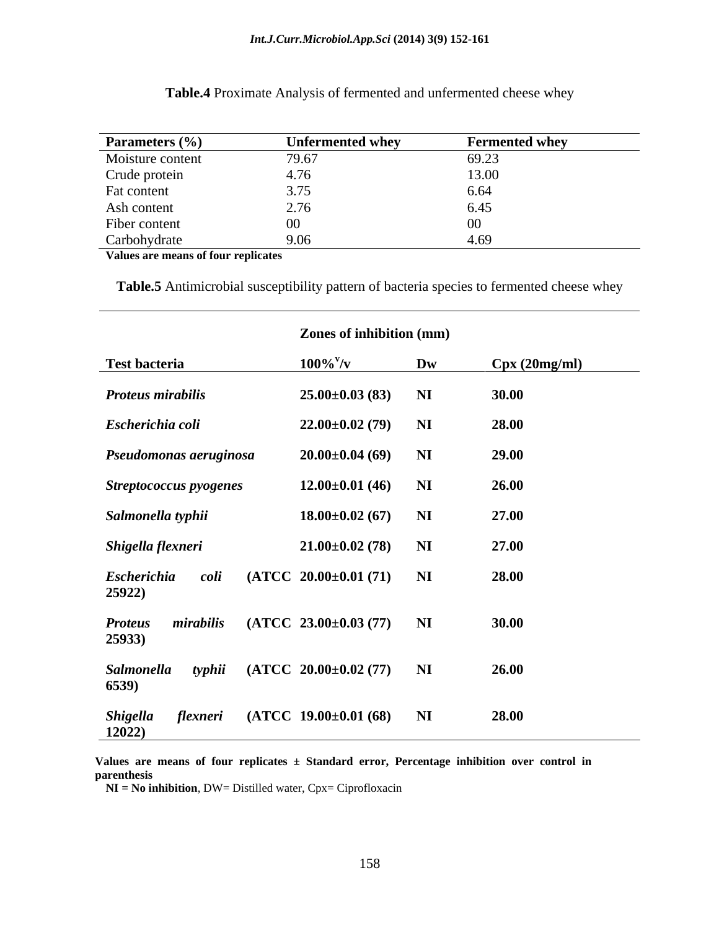| Parameters $(\% )$ | <b>Unfermented whey</b> | <b>Fermented whey</b> |
|--------------------|-------------------------|-----------------------|
| Moisture content   | 79.67                   | 69.23                 |
| Crude protein      | 4.76                    | 13.00                 |
| Fat content        |                         | 6.64                  |
| Ash content        | 2.76                    | 6.45                  |
| Fiber content      |                         | OO                    |
| Carbohydrate       | 9.06                    | 4.69                  |

**Table.4** Proximate Analysis of fermented and unfermented cheese whey

**Values are means of four replicates** 

**Table.5** Antimicrobial susceptibility pattern of bacteria species to fermented cheese whey

|                                       | Zones of inhibition (mm)       |    |              |
|---------------------------------------|--------------------------------|----|--------------|
| <b>Test bacteria</b>                  | $100\%$ <sup>v</sup> /v        | Dw | Cpx(20mg/ml) |
| <b>Proteus mirabilis</b>              | $25.00\pm0.03(83)$ NI          |    | 30.00        |
| Escherichia coli                      | $22.00\pm0.02$ (79) NI         |    | 28.00        |
| Pseudomonas aeruginosa                | $20.00\pm0.04(69)$ NI          |    | 29.00        |
| <b>Streptococcus pyogenes</b>         | $12.00\pm0.01$ (46) NI         |    | 26.00        |
| Salmonella typhii                     | $18.00\pm0.02$ (67) NI         |    | 27.00        |
| Shigella flexneri                     | $21.00\pm0.02$ (78) NI         |    | 27.00        |
| <b>Escherichia</b><br>coli<br>25922)  | $(ATCC 20.00 \pm 0.01(71)$ NI  |    | 28.00        |
| mirabilis<br><b>Proteus</b><br>25933) | $(ATCC 23.00 \pm 0.03 (77)$ NI |    | 30.00        |
| Salmonella<br>typhii<br>6539)         | $(ATCC 20.00 \pm 0.02 (77)$ NI |    | 26.00        |
| <b>Shigella</b><br>flexneri<br>12022) | $(ATCC 19.00 \pm 0.01 (68)$ NI |    | 28.00        |

**Values are means of four replicates ± Standard error, Percentage inhibition over control in parenthesis**

**NI = No inhibition**, DW= Distilled water, Cpx= Ciprofloxacin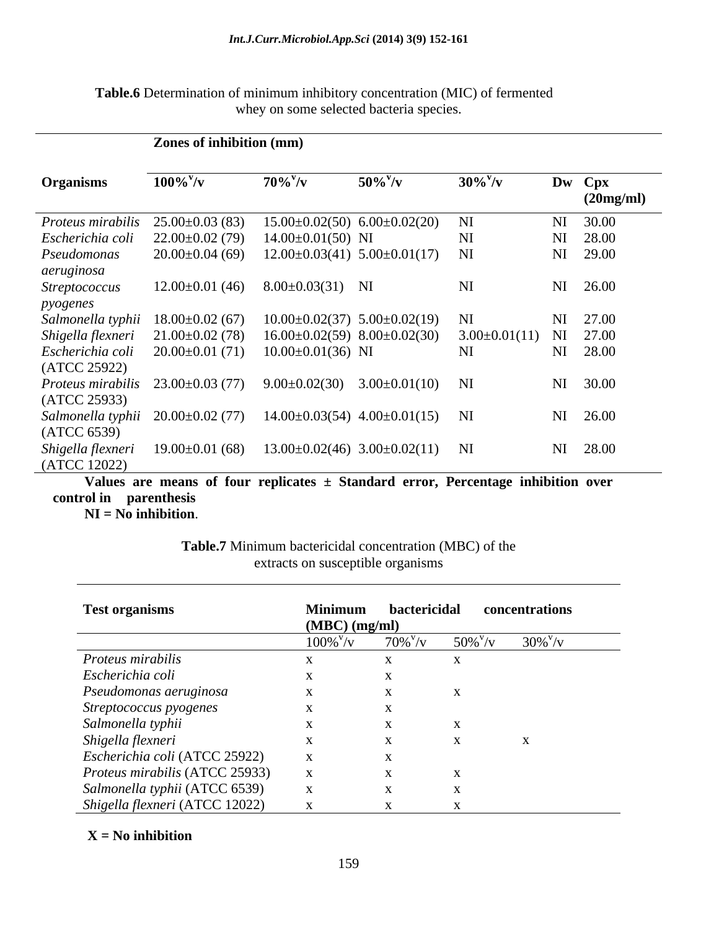**Table.6** Determination of minimum inhibitory concentration (MIC) of fermented whey on some selected bacteria species.

|                                                             | <b>Zones of inhibition (mm)</b>               |                         |                                                                                  |                              |                     |
|-------------------------------------------------------------|-----------------------------------------------|-------------------------|----------------------------------------------------------------------------------|------------------------------|---------------------|
| <b>Organisms</b>                                            | $100\%$ <sup>v</sup> /v                       | $70\%$ <sup>v</sup> /v  | $50\%$ <sup>v</sup> /v                                                           | $30\%$ <sup>v</sup> /v       | Dw Cpx<br>(20mg/ml) |
| Proteus mirabilis $25.00\pm0.03$ (83)                       |                                               |                         | $15.00\pm0.02(50)$ 6.00 $\pm0.02(20)$ NI                                         |                              | NI 30.00            |
| Escherichia coli                                            | $22.00\pm0.02$ (79)                           | $14.00 \pm 0.01(50)$ NI |                                                                                  | <b>NI</b>                    | NI 28.00            |
| Pseudomonas                                                 |                                               |                         | $20.00\pm0.04$ (69) $12.00\pm0.03(41)$ 5.00 $\pm0.01(17)$ NI                     |                              | NI 29.00            |
| aeruginosa                                                  |                                               |                         |                                                                                  |                              |                     |
| <i>Streptococcus</i>                                        | $12.00 \pm 0.01$ (46) $8.00 \pm 0.03$ (31) NI |                         |                                                                                  | NI                           | NI 26.00            |
| pyogenes                                                    |                                               |                         |                                                                                  |                              |                     |
| Salmonella typhii 18.00±0.02 (67)                           |                                               |                         | $10.00 \pm 0.02(37)$ 5.00 $\pm 0.02(19)$ NI                                      |                              | NI 27.00            |
|                                                             |                                               |                         | Shigella flexneri 21.00 $\pm$ 0.02 (78) 16.00 $\pm$ 0.02(59) 8.00 $\pm$ 0.02(30) | $3.00 \pm 0.01(11)$ NI 27.00 |                     |
| Escherichia coli $20.00\pm0.01$ (71) $10.00\pm0.01$ (36) NI |                                               |                         |                                                                                  | NI                           | NI 28.00            |
| (ATCC 25922)                                                |                                               |                         |                                                                                  |                              |                     |
|                                                             |                                               |                         | Proteus mirabilis $23.00\pm0.03$ (77) $9.00\pm0.02$ (30) $3.00\pm0.01$ (10) NI   |                              | NI 30.00            |
| (ATCC 25933)                                                |                                               |                         |                                                                                  |                              |                     |
|                                                             |                                               |                         | Salmonella typhii 20.00±0.02 (77) 14.00±0.03(54) 4.00±0.01(15) NI                |                              | NI 26.00            |
| (ATCC 6539)                                                 |                                               |                         |                                                                                  |                              |                     |
| (ATCC 12022)                                                |                                               |                         | Shigella flexneri 19.00±0.01 (68) 13.00±0.02(46) 3.00±0.02(11) NI                |                              | NI 28.00            |

**Values are means of four replicates ± Standard error, Percentage inhibition over control in parenthesis**

**NI = No inhibition**.

| Table.7 Minimum bactericidal concentration (MBC) of<br>of the |  |
|---------------------------------------------------------------|--|
| extracts on susceptible organisms                             |  |

| <b>Test organisms</b>          | Minimum<br>$(MBC)$ (mg/ml) | bactericidal        |                                               | concentrations |
|--------------------------------|----------------------------|---------------------|-----------------------------------------------|----------------|
|                                | $100\%$ <sup>v</sup> /v    | $70\%$ $\mathrm{V}$ | $50\%$ <sup>v</sup> /v $30\%$ <sup>v</sup> /v |                |
| Proteus mirabilis              |                            |                     |                                               |                |
| Escherichia coli               |                            |                     |                                               |                |
| Pseudomonas aeruginosa         |                            |                     |                                               |                |
| Streptococcus pyogenes         |                            |                     |                                               |                |
| Salmonella typhii              |                            |                     |                                               |                |
| Shigella flexneri              |                            |                     |                                               |                |
| Escherichia coli (ATCC 25922)  |                            |                     |                                               |                |
| Proteus mirabilis (ATCC 25933) |                            |                     |                                               |                |
| Salmonella typhii (ATCC 6539)  |                            |                     |                                               |                |
| Shigella flexneri (ATCC 12022) |                            |                     |                                               |                |

### **X = No inhibition**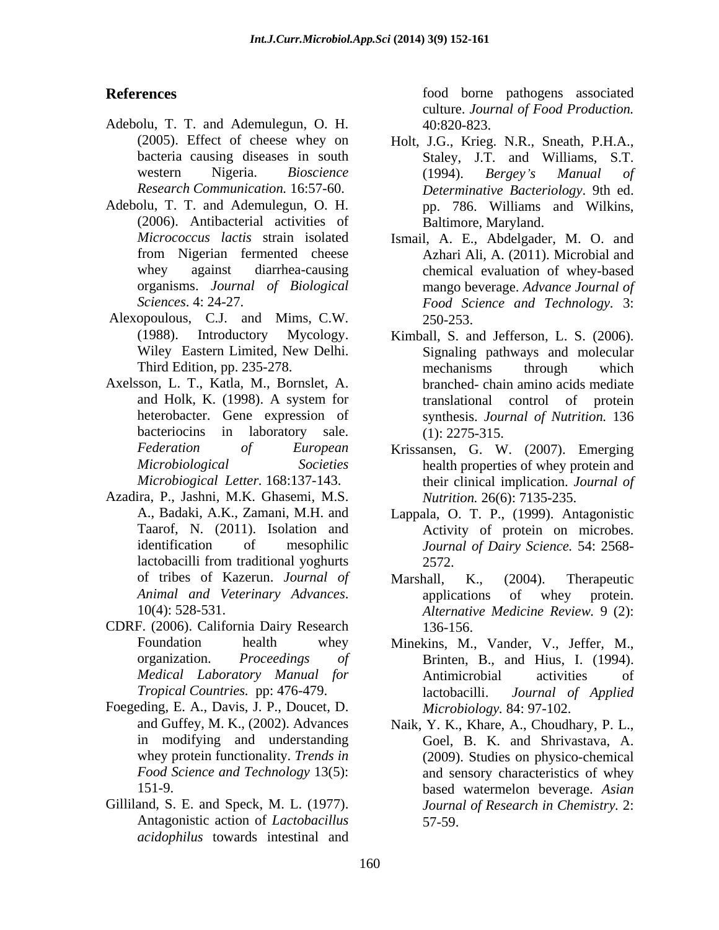- Adebolu, T. T. and Ademulegun, O. H. (2005). Effect of cheese whey on Holt, J.G., Krieg. N.R., Sneath, P.H.A.,
- Adebolu, T. T. and Ademulegun, O. H. (2006). Antibacterial activities of organisms. *Journal of Biological*
- Alexopoulous, C.J. and Mims, C.W. 250-253.
- Axelsson, L. T., Katla, M., Bornslet, A.
- Azadira, P., Jashni, M.K. Ghasemi, M.S.
- CDRF. (2006). California Dairy Research
- Foegeding, E. A., Davis, J. P., Doucet, D.
- Gilliland, S. E. and Speck, M. L. (1977). Antagonistic action of *Lactobacillus acidophilus* towards intestinal and

**References** food borne pathogens associated culture. *Journal of Food Production.* 40:820-823.

- bacteria causing diseases in south Staley, J.T. and Williams, S.T. western Nigeria. *Bioscience Research Communication.* 16:57-60. *Determinative Bacteriology*. 9th ed. Holt, J.G., Krieg. N.R., Sneath, P.H.A., Staley, J.T. and Williams, S.T. (1994). *Bergey s Manual of* pp. 786. Williams and Wilkins, Baltimore, Maryland.
- *Micrococcus lactis* strain isolated Ismail, A. E., Abdelgader, M. O. and from Nigerian fermented cheese Azhari Ali, A. (2011). Microbial and whey against diarrhea-causing chemical evaluation of whey-based *Sciences*. 4: 24-27. *Food Science and Technology.* 3: mango beverage. *Advance Journal of* 250-253.
- (1988). Introductory Mycology. Kimball, S. and Jefferson, L. S. (2006). Wiley Eastern Limited, New Delhi. Signaling pathways and molecular Third Edition, pp. 235-278. Third Edition, pp. 235-278. and Holk, K. (1998). A system for heterobacter. Gene expression of synthesis. *Journal of Nutrition.* 136 bacteriocins in laboratory sale. (1): 2275-315. Signaling pathways and molecular mechanisms through which branched- chain amino acids mediate translational control of protein (1): 2275-315.
- *Federation of European* Krissansen, G. W. (2007). Emerging *Microbiological Societies* health properties of whey protein and *Microbiogical Letter.* 168:137-143. their clinical implication. *Journal of Nutrition.* 26(6): 7135-235.
- A., Badaki, A.K., Zamani, M.H. and Lappala, O. T. P., (1999). Antagonistic Taarof, N. (2011). Isolation and Activity of protein on microbes. identification of mesophilic *Journal of Dairy Science.* 54: 2568 lactobacilli from traditional yoghurts 2572.
- of tribes of Kazerun. *Journal of Animal and Veterinary Advances.* applications of whey protein.<br>10(4): 528-531. Alternative Medicine Review. 9 (2): Marshall, K., (2004). Therapeutic applications of whey protein. *Alternative Medicine Review.* 9 (2): 136-156.
- Foundation health whey Minekins, M., Vander, V., Jeffer, M., organization. *Proceedings of* Brinten, B., and Hius, I. (1994). *Medical Laboratory Manual for Tropical Countries.* pp: 476-479. Antimicrobial activities of lactobacilli. *Journal of Applied Microbiology.* 84: 97-102.
- and Guffey, M. K., (2002). Advances Naik, Y. K., Khare, A., Choudhary, P. L., in modifying and understanding Goel, B. K. and Shrivastava, A. whey protein functionality. *Trends in* (2009). Studies on physico-chemical *Food Science and Technology* 13(5): and sensory characteristics of whey 151-9. based watermelon beverage. *Asian Journal of Research in Chemistry.* 2: 57-59.